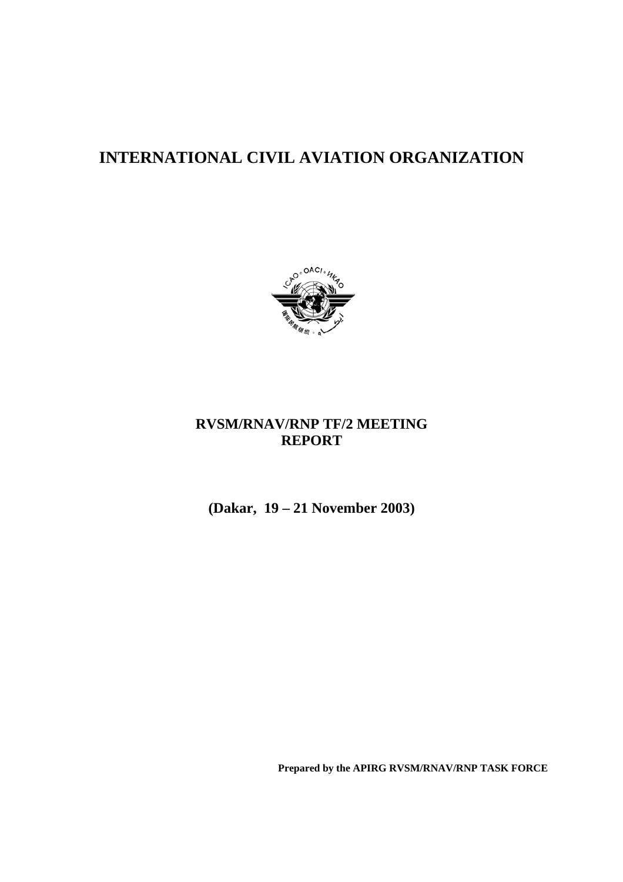# **INTERNATIONAL CIVIL AVIATION ORGANIZATION**



## **RVSM/RNAV/RNP TF/2 MEETING REPORT**

**(Dakar, 19 – 21 November 2003)**

**Prepared by the APIRG RVSM/RNAV/RNP TASK FORCE**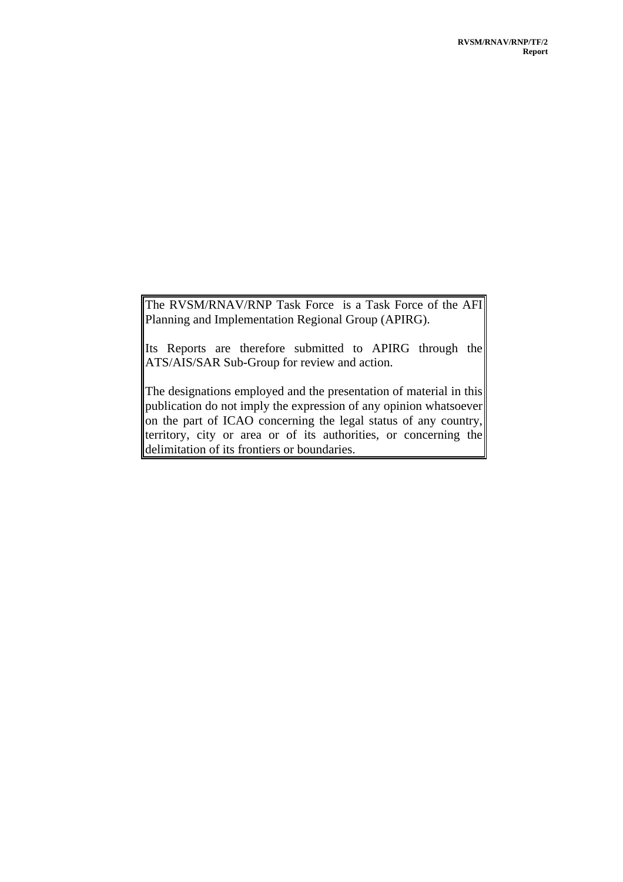The RVSM/RNAV/RNP Task Force is a Task Force of the AFI Planning and Implementation Regional Group (APIRG).

Its Reports are therefore submitted to APIRG through the ATS/AIS/SAR Sub-Group for review and action.

The designations employed and the presentation of material in this publication do not imply the expression of any opinion whatsoever on the part of ICAO concerning the legal status of any country, territory, city or area or of its authorities, or concerning the delimitation of its frontiers or boundaries.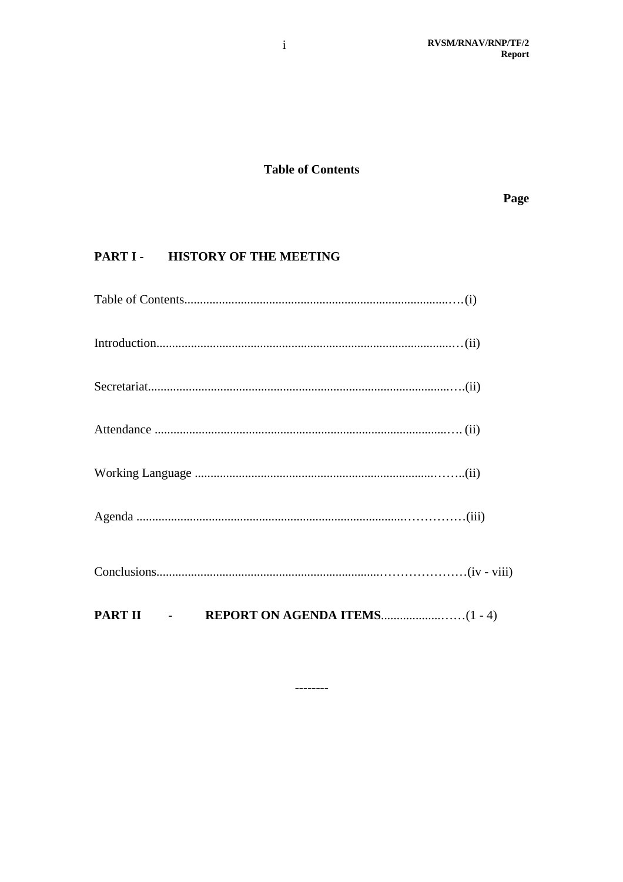## **Table of Contents**

Page

## PART I - HISTORY OF THE MEETING

| PART II - |  |
|-----------|--|
|           |  |
|           |  |
|           |  |
|           |  |
|           |  |
|           |  |
|           |  |

 $-----$ 

 $\rm i$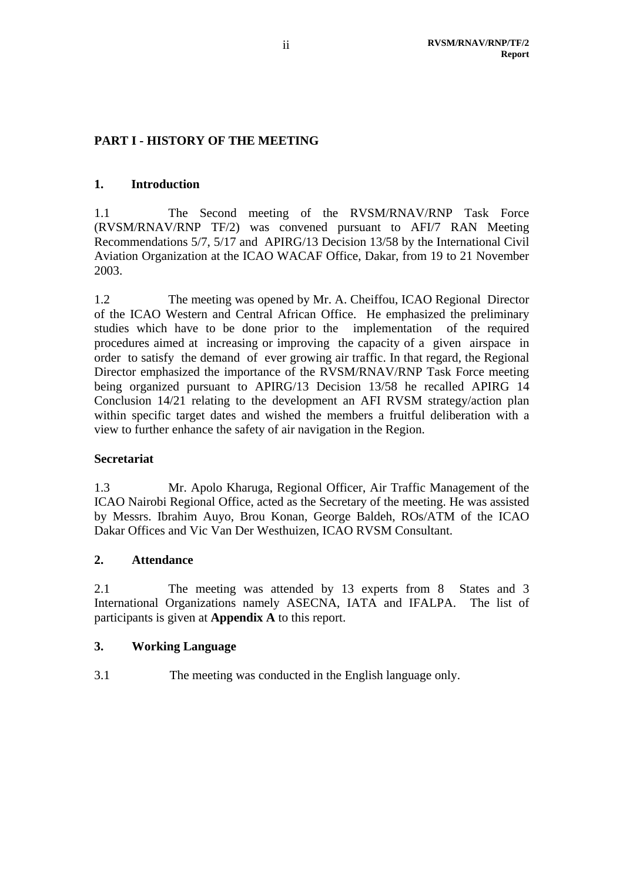## **PART I - HISTORY OF THE MEETING**

#### **1. Introduction**

1.1 The Second meeting of the RVSM/RNAV/RNP Task Force (RVSM/RNAV/RNP TF/2) was convened pursuant to AFI/7 RAN Meeting Recommendations 5/7, 5/17 and APIRG/13 Decision 13/58 by the International Civil Aviation Organization at the ICAO WACAF Office, Dakar, from 19 to 21 November 2003.

1.2 The meeting was opened by Mr. A. Cheiffou, ICAO Regional Director of the ICAO Western and Central African Office. He emphasized the preliminary studies which have to be done prior to the implementation of the required procedures aimed at increasing or improving the capacity of a given airspace in order to satisfy the demand of ever growing air traffic. In that regard, the Regional Director emphasized the importance of the RVSM/RNAV/RNP Task Force meeting being organized pursuant to APIRG/13 Decision 13/58 he recalled APIRG 14 Conclusion 14/21 relating to the development an AFI RVSM strategy/action plan within specific target dates and wished the members a fruitful deliberation with a view to further enhance the safety of air navigation in the Region.

### **Secretariat**

1.3 Mr. Apolo Kharuga, Regional Officer, Air Traffic Management of the ICAO Nairobi Regional Office, acted as the Secretary of the meeting. He was assisted by Messrs. Ibrahim Auyo, Brou Konan, George Baldeh, ROs/ATM of the ICAO Dakar Offices and Vic Van Der Westhuizen, ICAO RVSM Consultant.

#### **2. Attendance**

2.1 The meeting was attended by 13 experts from 8 States and 3 International Organizations namely ASECNA, IATA and IFALPA. The list of participants is given at **Appendix A** to this report.

### **3. Working Language**

3.1 The meeting was conducted in the English language only.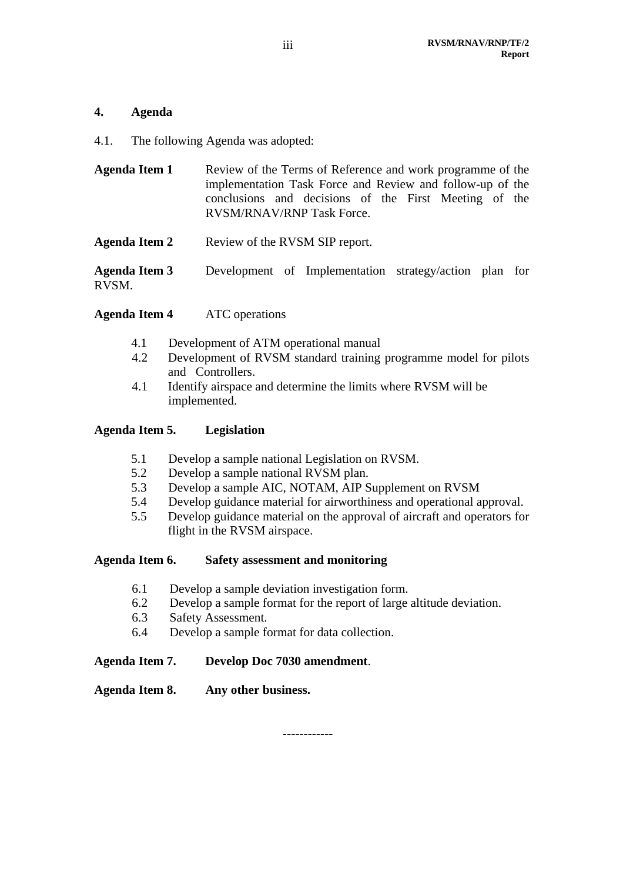#### **4. Agenda**

4.1. The following Agenda was adopted:

| <b>Agenda Item 1</b> | Review of the Terms of Reference and work programme of the<br>implementation Task Force and Review and follow-up of the<br>conclusions and decisions of the First Meeting of the<br>RVSM/RNAV/RNP Task Force. |
|----------------------|---------------------------------------------------------------------------------------------------------------------------------------------------------------------------------------------------------------|
| <b>Agenda Item 2</b> | Review of the RVSM SIP report.                                                                                                                                                                                |

**Agenda Item 3** Development of Implementation strategy/action plan for RVSM.

**Agenda Item 4** ATC operations

- 4.1 Development of ATM operational manual
- 4.2 Development of RVSM standard training programme model for pilots and Controllers.
- 4.1 Identify airspace and determine the limits where RVSM will be implemented.

#### **Agenda Item 5. Legislation**

- 5.1 Develop a sample national Legislation on RVSM.
- 5.2 Develop a sample national RVSM plan.
- 5.3 Develop a sample AIC, NOTAM, AIP Supplement on RVSM
- 5.4 Develop guidance material for airworthiness and operational approval.
- 5.5 Develop guidance material on the approval of aircraft and operators for flight in the RVSM airspace.

#### **Agenda Item 6. Safety assessment and monitoring**

- 6.1 Develop a sample deviation investigation form.
- 6.2 Develop a sample format for the report of large altitude deviation.
- 6.3 Safety Assessment.
- 6.4 Develop a sample format for data collection.

#### **Agenda Item 7. Develop Doc 7030 amendment**.

### **Agenda Item 8. Any other business.**

**------------**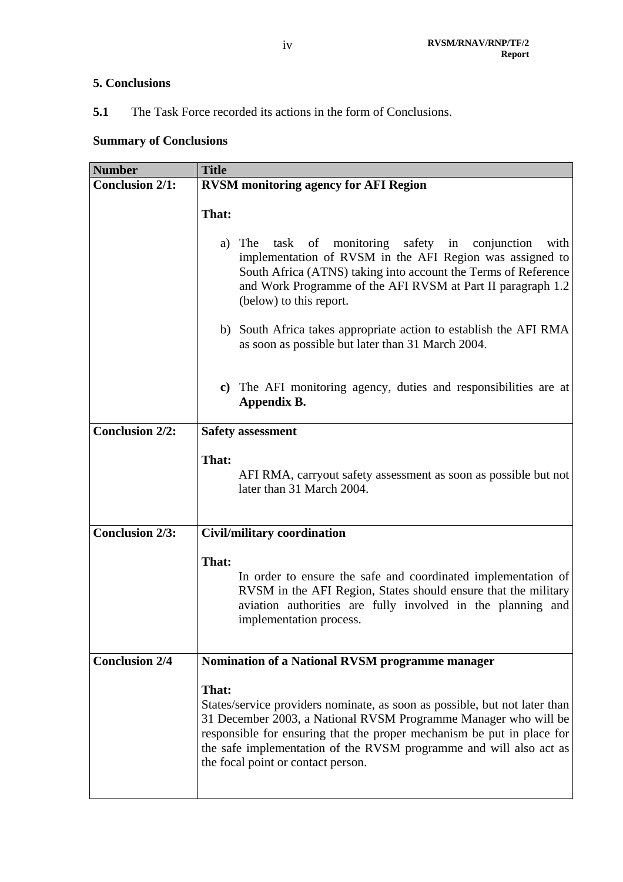## **5. Conclusions**

5.1 The Task Force recorded its actions in the form of Conclusions.

## **Summary of Conclusions**

| <b>Number</b>          | <b>Title</b>                                                                                                                                                                                                                                                                                                                                 |
|------------------------|----------------------------------------------------------------------------------------------------------------------------------------------------------------------------------------------------------------------------------------------------------------------------------------------------------------------------------------------|
| <b>Conclusion 2/1:</b> | <b>RVSM</b> monitoring agency for AFI Region                                                                                                                                                                                                                                                                                                 |
|                        | That:                                                                                                                                                                                                                                                                                                                                        |
|                        | task of monitoring safety in conjunction<br>a) The<br>with<br>implementation of RVSM in the AFI Region was assigned to<br>South Africa (ATNS) taking into account the Terms of Reference<br>and Work Programme of the AFI RVSM at Part II paragraph 1.2<br>(below) to this report.                                                           |
|                        | b) South Africa takes appropriate action to establish the AFI RMA<br>as soon as possible but later than 31 March 2004.                                                                                                                                                                                                                       |
|                        | c) The AFI monitoring agency, duties and responsibilities are at<br>Appendix B.                                                                                                                                                                                                                                                              |
| Conclusion $2/2$ :     | <b>Safety assessment</b>                                                                                                                                                                                                                                                                                                                     |
|                        | That:<br>AFI RMA, carryout safety assessment as soon as possible but not<br>later than 31 March 2004.                                                                                                                                                                                                                                        |
| <b>Conclusion 2/3:</b> | <b>Civil/military coordination</b>                                                                                                                                                                                                                                                                                                           |
|                        | That:<br>In order to ensure the safe and coordinated implementation of<br>RVSM in the AFI Region, States should ensure that the military<br>aviation authorities are fully involved in the planning and<br>implementation process.                                                                                                           |
| <b>Conclusion 2/4</b>  | Nomination of a National RVSM programme manager                                                                                                                                                                                                                                                                                              |
|                        | That:<br>States/service providers nominate, as soon as possible, but not later than<br>31 December 2003, a National RVSM Programme Manager who will be<br>responsible for ensuring that the proper mechanism be put in place for<br>the safe implementation of the RVSM programme and will also act as<br>the focal point or contact person. |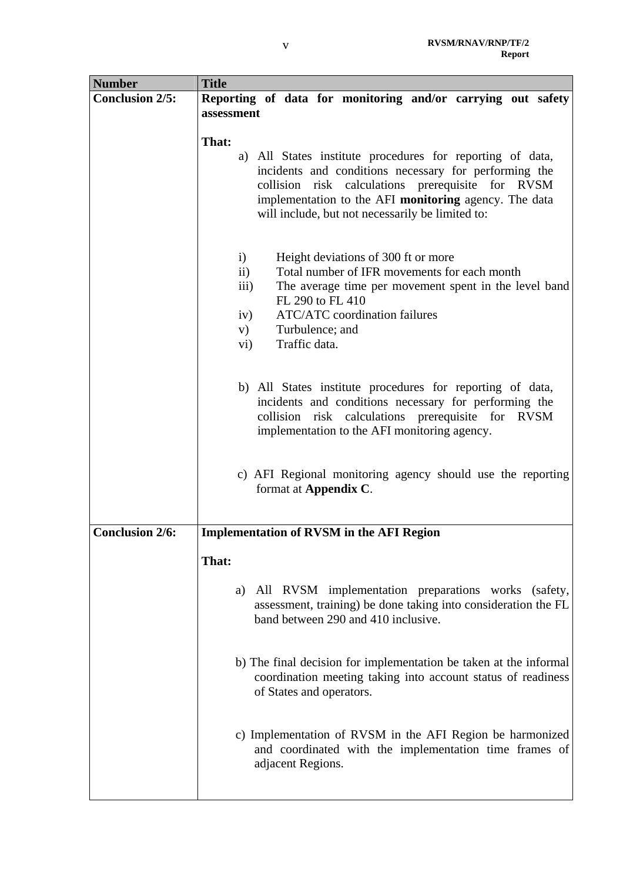| <b>Number</b>          | <b>Title</b>                                                                                  |  |  |  |  |  |  |  |  |
|------------------------|-----------------------------------------------------------------------------------------------|--|--|--|--|--|--|--|--|
| <b>Conclusion 2/5:</b> | Reporting of data for monitoring and/or carrying out safety                                   |  |  |  |  |  |  |  |  |
|                        | assessment                                                                                    |  |  |  |  |  |  |  |  |
|                        |                                                                                               |  |  |  |  |  |  |  |  |
|                        | That:                                                                                         |  |  |  |  |  |  |  |  |
|                        | a) All States institute procedures for reporting of data,                                     |  |  |  |  |  |  |  |  |
|                        | incidents and conditions necessary for performing the                                         |  |  |  |  |  |  |  |  |
|                        | risk calculations prerequisite for RVSM<br>collision                                          |  |  |  |  |  |  |  |  |
|                        | implementation to the AFI monitoring agency. The data                                         |  |  |  |  |  |  |  |  |
|                        | will include, but not necessarily be limited to:                                              |  |  |  |  |  |  |  |  |
|                        |                                                                                               |  |  |  |  |  |  |  |  |
|                        |                                                                                               |  |  |  |  |  |  |  |  |
|                        | i)<br>Height deviations of 300 ft or more<br>Total number of IFR movements for each month     |  |  |  |  |  |  |  |  |
|                        | $\mathbf{ii}$                                                                                 |  |  |  |  |  |  |  |  |
|                        | The average time per movement spent in the level band<br>$\overline{111}$<br>FL 290 to FL 410 |  |  |  |  |  |  |  |  |
|                        | <b>ATC/ATC</b> coordination failures<br>iv)                                                   |  |  |  |  |  |  |  |  |
|                        | Turbulence; and<br>V)                                                                         |  |  |  |  |  |  |  |  |
|                        | Traffic data.<br>vi)                                                                          |  |  |  |  |  |  |  |  |
|                        |                                                                                               |  |  |  |  |  |  |  |  |
|                        |                                                                                               |  |  |  |  |  |  |  |  |
|                        | b) All States institute procedures for reporting of data,                                     |  |  |  |  |  |  |  |  |
|                        | incidents and conditions necessary for performing the                                         |  |  |  |  |  |  |  |  |
|                        | risk calculations prerequisite for RVSM<br>collision                                          |  |  |  |  |  |  |  |  |
|                        | implementation to the AFI monitoring agency.                                                  |  |  |  |  |  |  |  |  |
|                        |                                                                                               |  |  |  |  |  |  |  |  |
|                        |                                                                                               |  |  |  |  |  |  |  |  |
|                        | c) AFI Regional monitoring agency should use the reporting                                    |  |  |  |  |  |  |  |  |
|                        | format at Appendix C.                                                                         |  |  |  |  |  |  |  |  |
|                        |                                                                                               |  |  |  |  |  |  |  |  |
| <b>Conclusion 2/6:</b> | <b>Implementation of RVSM in the AFI Region</b>                                               |  |  |  |  |  |  |  |  |
|                        |                                                                                               |  |  |  |  |  |  |  |  |
|                        | That:                                                                                         |  |  |  |  |  |  |  |  |
|                        |                                                                                               |  |  |  |  |  |  |  |  |
|                        | a) All RVSM implementation preparations works (safety,                                        |  |  |  |  |  |  |  |  |
|                        | assessment, training) be done taking into consideration the FL                                |  |  |  |  |  |  |  |  |
|                        | band between 290 and 410 inclusive.                                                           |  |  |  |  |  |  |  |  |
|                        |                                                                                               |  |  |  |  |  |  |  |  |
|                        |                                                                                               |  |  |  |  |  |  |  |  |
|                        | b) The final decision for implementation be taken at the informal                             |  |  |  |  |  |  |  |  |
|                        | coordination meeting taking into account status of readiness                                  |  |  |  |  |  |  |  |  |
|                        | of States and operators.                                                                      |  |  |  |  |  |  |  |  |
|                        |                                                                                               |  |  |  |  |  |  |  |  |
|                        | c) Implementation of RVSM in the AFI Region be harmonized                                     |  |  |  |  |  |  |  |  |
|                        | and coordinated with the implementation time frames of                                        |  |  |  |  |  |  |  |  |
|                        | adjacent Regions.                                                                             |  |  |  |  |  |  |  |  |
|                        |                                                                                               |  |  |  |  |  |  |  |  |
|                        |                                                                                               |  |  |  |  |  |  |  |  |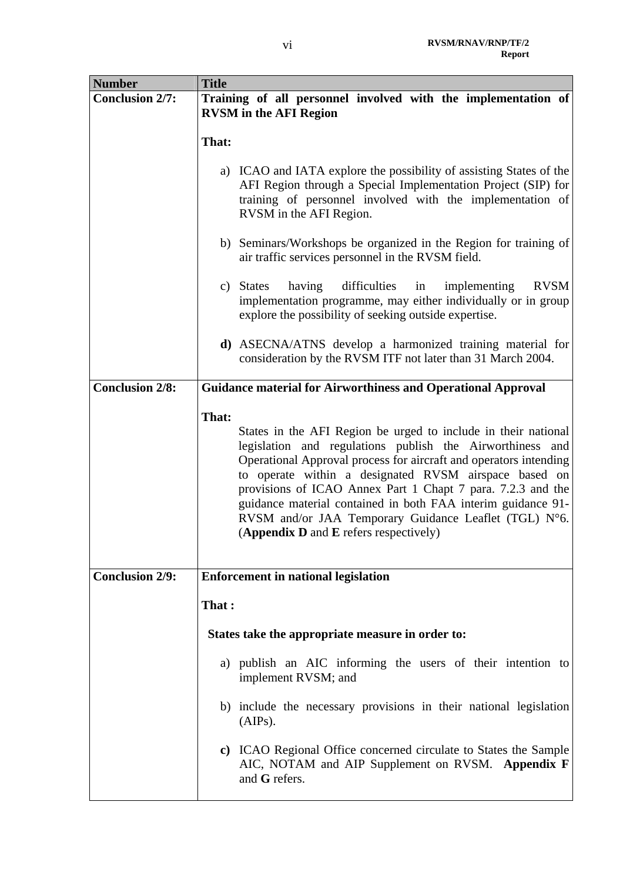| <b>Number</b>          | <b>Title</b>                                                                                                                                                                                                                                                                                                                                                                                                                                                                                         |
|------------------------|------------------------------------------------------------------------------------------------------------------------------------------------------------------------------------------------------------------------------------------------------------------------------------------------------------------------------------------------------------------------------------------------------------------------------------------------------------------------------------------------------|
| <b>Conclusion 2/7:</b> | Training of all personnel involved with the implementation of<br><b>RVSM</b> in the AFI Region                                                                                                                                                                                                                                                                                                                                                                                                       |
|                        | That:                                                                                                                                                                                                                                                                                                                                                                                                                                                                                                |
|                        | a) ICAO and IATA explore the possibility of assisting States of the<br>AFI Region through a Special Implementation Project (SIP) for<br>training of personnel involved with the implementation of<br>RVSM in the AFI Region.                                                                                                                                                                                                                                                                         |
|                        | b) Seminars/Workshops be organized in the Region for training of<br>air traffic services personnel in the RVSM field.                                                                                                                                                                                                                                                                                                                                                                                |
|                        | <b>RVSM</b><br>c) States<br>having<br>difficulties<br>implementing<br>in<br>implementation programme, may either individually or in group<br>explore the possibility of seeking outside expertise.                                                                                                                                                                                                                                                                                                   |
|                        | d) ASECNA/ATNS develop a harmonized training material for<br>consideration by the RVSM ITF not later than 31 March 2004.                                                                                                                                                                                                                                                                                                                                                                             |
| <b>Conclusion 2/8:</b> | <b>Guidance material for Airworthiness and Operational Approval</b>                                                                                                                                                                                                                                                                                                                                                                                                                                  |
|                        | That:<br>States in the AFI Region be urged to include in their national<br>legislation and regulations publish the Airworthiness and<br>Operational Approval process for aircraft and operators intending<br>to operate within a designated RVSM airspace based on<br>provisions of ICAO Annex Part 1 Chapt 7 para. 7.2.3 and the<br>guidance material contained in both FAA interim guidance 91-<br>RVSM and/or JAA Temporary Guidance Leaflet (TGL) N°6.<br>(Appendix D and E refers respectively) |
| <b>Conclusion 2/9:</b> | <b>Enforcement in national legislation</b>                                                                                                                                                                                                                                                                                                                                                                                                                                                           |
|                        | That:                                                                                                                                                                                                                                                                                                                                                                                                                                                                                                |
|                        | States take the appropriate measure in order to:                                                                                                                                                                                                                                                                                                                                                                                                                                                     |
|                        | a) publish an AIC informing the users of their intention to<br>implement RVSM; and                                                                                                                                                                                                                                                                                                                                                                                                                   |
|                        | b) include the necessary provisions in their national legislation<br>(AlPs).                                                                                                                                                                                                                                                                                                                                                                                                                         |
|                        | c) ICAO Regional Office concerned circulate to States the Sample<br>AIC, NOTAM and AIP Supplement on RVSM. Appendix F<br>and G refers.                                                                                                                                                                                                                                                                                                                                                               |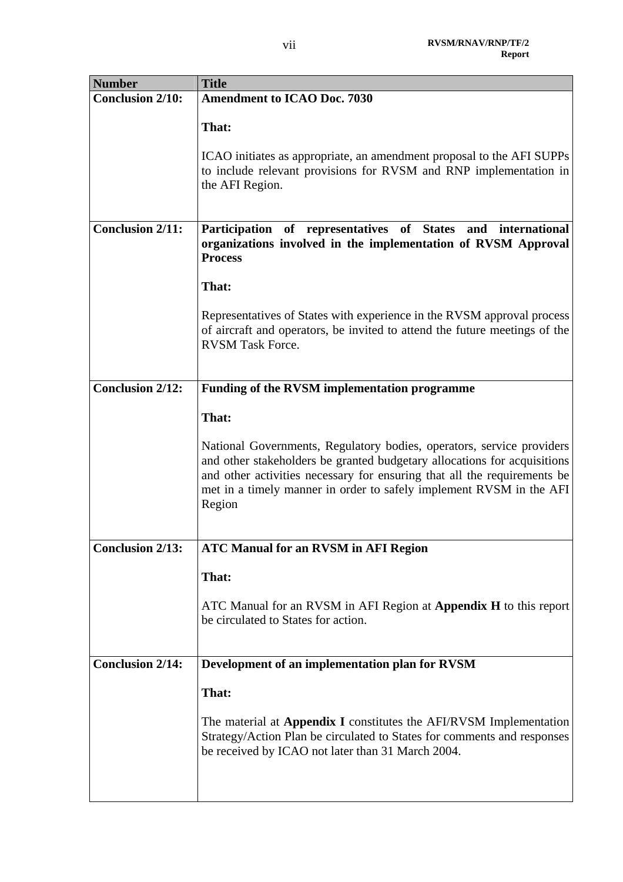| <b>Number</b>           | <b>Title</b>                                                                                                                                                                                                                                                                                                   |
|-------------------------|----------------------------------------------------------------------------------------------------------------------------------------------------------------------------------------------------------------------------------------------------------------------------------------------------------------|
| <b>Conclusion 2/10:</b> | <b>Amendment to ICAO Doc. 7030</b>                                                                                                                                                                                                                                                                             |
|                         | That:                                                                                                                                                                                                                                                                                                          |
|                         | ICAO initiates as appropriate, an amendment proposal to the AFI SUPPs<br>to include relevant provisions for RVSM and RNP implementation in<br>the AFI Region.                                                                                                                                                  |
| <b>Conclusion 2/11:</b> | Participation of representatives of States<br>international<br>and<br>organizations involved in the implementation of RVSM Approval<br><b>Process</b>                                                                                                                                                          |
|                         | That:                                                                                                                                                                                                                                                                                                          |
|                         | Representatives of States with experience in the RVSM approval process<br>of aircraft and operators, be invited to attend the future meetings of the<br><b>RVSM Task Force.</b>                                                                                                                                |
| <b>Conclusion 2/12:</b> | <b>Funding of the RVSM implementation programme</b>                                                                                                                                                                                                                                                            |
|                         |                                                                                                                                                                                                                                                                                                                |
|                         | That:                                                                                                                                                                                                                                                                                                          |
|                         | National Governments, Regulatory bodies, operators, service providers<br>and other stakeholders be granted budgetary allocations for acquisitions<br>and other activities necessary for ensuring that all the requirements be<br>met in a timely manner in order to safely implement RVSM in the AFI<br>Region |
| <b>Conclusion 2/13:</b> | <b>ATC Manual for an RVSM in AFI Region</b>                                                                                                                                                                                                                                                                    |
|                         | That:                                                                                                                                                                                                                                                                                                          |
|                         | ATC Manual for an RVSM in AFI Region at Appendix H to this report<br>be circulated to States for action.                                                                                                                                                                                                       |
| <b>Conclusion 2/14:</b> | Development of an implementation plan for RVSM                                                                                                                                                                                                                                                                 |
|                         | That:                                                                                                                                                                                                                                                                                                          |
|                         | The material at Appendix I constitutes the AFI/RVSM Implementation<br>Strategy/Action Plan be circulated to States for comments and responses<br>be received by ICAO not later than 31 March 2004.                                                                                                             |
|                         |                                                                                                                                                                                                                                                                                                                |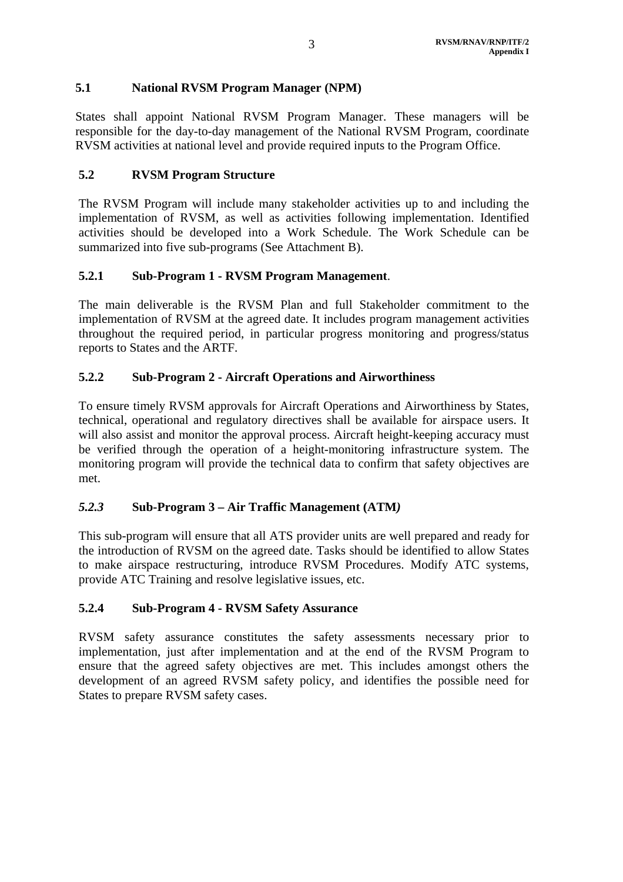## **5.1 National RVSM Program Manager (NPM)**

States shall appoint National RVSM Program Manager. These managers will be responsible for the day-to-day management of the National RVSM Program, coordinate RVSM activities at national level and provide required inputs to the Program Office.

## **5.2 RVSM Program Structure**

The RVSM Program will include many stakeholder activities up to and including the implementation of RVSM, as well as activities following implementation. Identified activities should be developed into a Work Schedule. The Work Schedule can be summarized into five sub-programs (See Attachment B).

## **5.2.1 Sub-Program 1 - RVSM Program Management**.

The main deliverable is the RVSM Plan and full Stakeholder commitment to the implementation of RVSM at the agreed date. It includes program management activities throughout the required period, in particular progress monitoring and progress/status reports to States and the ARTF.

## **5.2.2 Sub-Program 2 - Aircraft Operations and Airworthiness**

To ensure timely RVSM approvals for Aircraft Operations and Airworthiness by States, technical, operational and regulatory directives shall be available for airspace users. It will also assist and monitor the approval process. Aircraft height-keeping accuracy must be verified through the operation of a height-monitoring infrastructure system. The monitoring program will provide the technical data to confirm that safety objectives are met.

### *5.2.3* **Sub-Program 3 – Air Traffic Management (ATM***)*

This sub-program will ensure that all ATS provider units are well prepared and ready for the introduction of RVSM on the agreed date. Tasks should be identified to allow States to make airspace restructuring, introduce RVSM Procedures. Modify ATC systems, provide ATC Training and resolve legislative issues, etc.

### **5.2.4 Sub-Program 4 - RVSM Safety Assurance**

RVSM safety assurance constitutes the safety assessments necessary prior to implementation, just after implementation and at the end of the RVSM Program to ensure that the agreed safety objectives are met. This includes amongst others the development of an agreed RVSM safety policy, and identifies the possible need for States to prepare RVSM safety cases.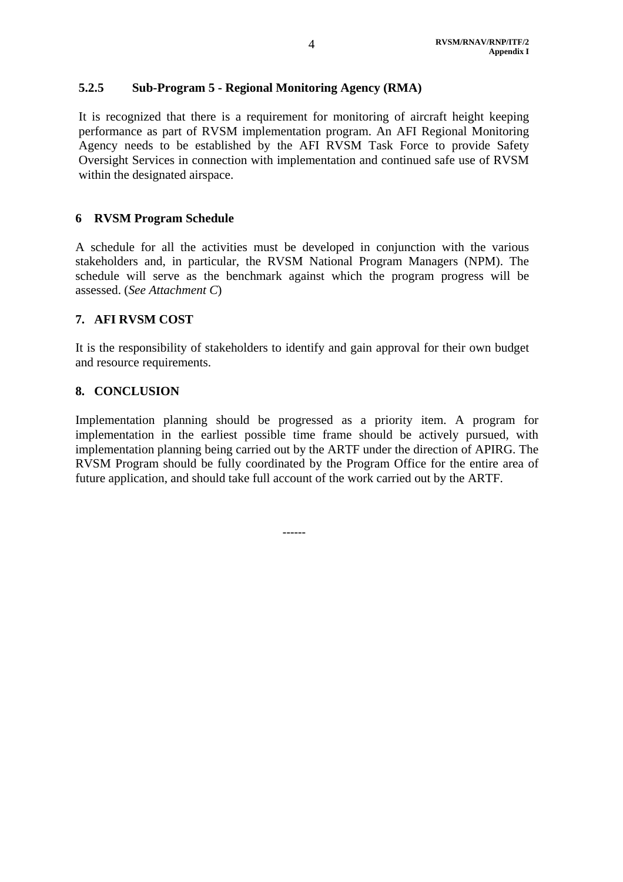### **5.2.5 Sub-Program 5 - Regional Monitoring Agency (RMA)**

It is recognized that there is a requirement for monitoring of aircraft height keeping performance as part of RVSM implementation program. An AFI Regional Monitoring Agency needs to be established by the AFI RVSM Task Force to provide Safety Oversight Services in connection with implementation and continued safe use of RVSM within the designated airspace.

#### **6 RVSM Program Schedule**

A schedule for all the activities must be developed in conjunction with the various stakeholders and, in particular, the RVSM National Program Managers (NPM). The schedule will serve as the benchmark against which the program progress will be assessed. (*See Attachment C*)

#### **7. AFI RVSM COST**

It is the responsibility of stakeholders to identify and gain approval for their own budget and resource requirements.

#### **8. CONCLUSION**

Implementation planning should be progressed as a priority item. A program for implementation in the earliest possible time frame should be actively pursued, with implementation planning being carried out by the ARTF under the direction of APIRG. The RVSM Program should be fully coordinated by the Program Office for the entire area of future application, and should take full account of the work carried out by the ARTF.

 **------**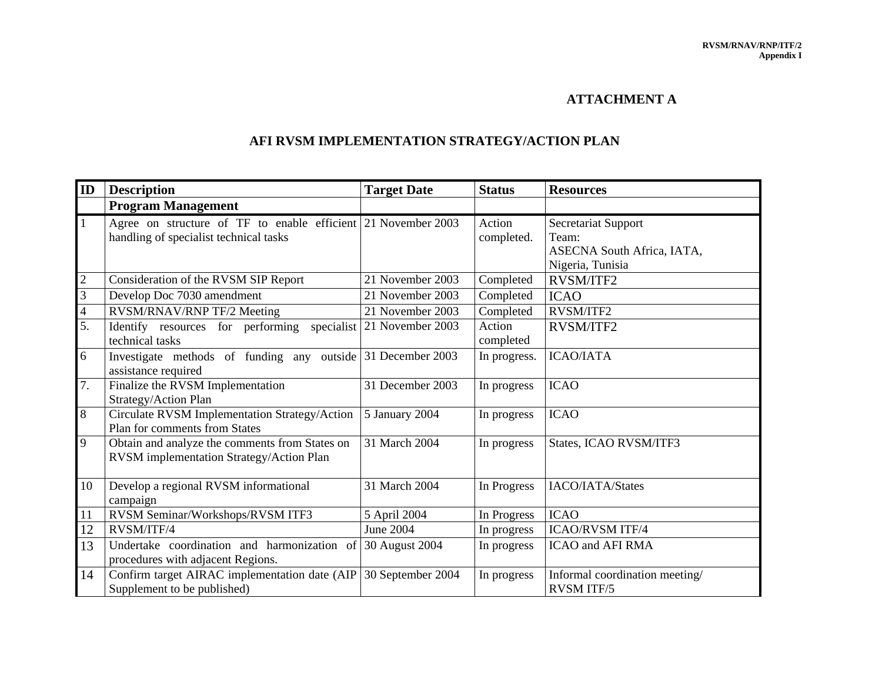#### **ATTACHMENT A**

## **AFI RVSM IMPLEMENTATION STRATEGY/ACTION PLAN**

| ID               | <b>Description</b><br><b>Target Date</b><br><b>Status</b>                                               |                   | <b>Resources</b>     |                                                                                |
|------------------|---------------------------------------------------------------------------------------------------------|-------------------|----------------------|--------------------------------------------------------------------------------|
|                  | <b>Program Management</b>                                                                               |                   |                      |                                                                                |
| $\vert$ 1        | Agree on structure of TF to enable efficient 21 November 2003<br>handling of specialist technical tasks |                   | Action<br>completed. | Secretariat Support<br>Team:<br>ASECNA South Africa, IATA,<br>Nigeria, Tunisia |
| $\mathbf{2}$     | Consideration of the RVSM SIP Report                                                                    | 21 November 2003  | Completed            | RVSM/ITF2                                                                      |
| 3                | Develop Doc 7030 amendment                                                                              | 21 November 2003  | Completed            | <b>ICAO</b>                                                                    |
| $\overline{4}$   | RVSM/RNAV/RNP TF/2 Meeting                                                                              | 21 November 2003  | Completed            | RVSM/ITF2                                                                      |
| $\overline{5}$ . | Identify resources for performing<br>specialist<br>technical tasks                                      | 21 November 2003  | Action<br>completed  | <b>RVSM/ITF2</b>                                                               |
| 6                | Investigate methods of funding any outside 31 December 2003<br>assistance required                      |                   | In progress.         | <b>ICAO/IATA</b>                                                               |
| 7.               | Finalize the RVSM Implementation<br>Strategy/Action Plan                                                | 31 December 2003  | In progress          | <b>ICAO</b>                                                                    |
| 8                | Circulate RVSM Implementation Strategy/Action<br>Plan for comments from States                          | 5 January 2004    | In progress          | <b>ICAO</b>                                                                    |
| 9                | Obtain and analyze the comments from States on<br>RVSM implementation Strategy/Action Plan              | 31 March 2004     | In progress          | States, ICAO RVSM/ITF3                                                         |
| 10               | Develop a regional RVSM informational<br>campaign                                                       | 31 March 2004     | In Progress          | IACO/IATA/States                                                               |
| 11               | RVSM Seminar/Workshops/RVSM ITF3                                                                        | 5 April 2004      | In Progress          | <b>ICAO</b>                                                                    |
| 12               | RVSM/ITF/4                                                                                              | June 2004         | In progress          | <b>ICAO/RVSM ITF/4</b>                                                         |
| 13               | Undertake coordination and harmonization of<br>procedures with adjacent Regions.                        | 30 August 2004    | In progress          | <b>ICAO</b> and AFI RMA                                                        |
| 14               | Confirm target AIRAC implementation date (AIP<br>Supplement to be published)                            | 30 September 2004 | In progress          | Informal coordination meeting/<br><b>RVSM ITF/5</b>                            |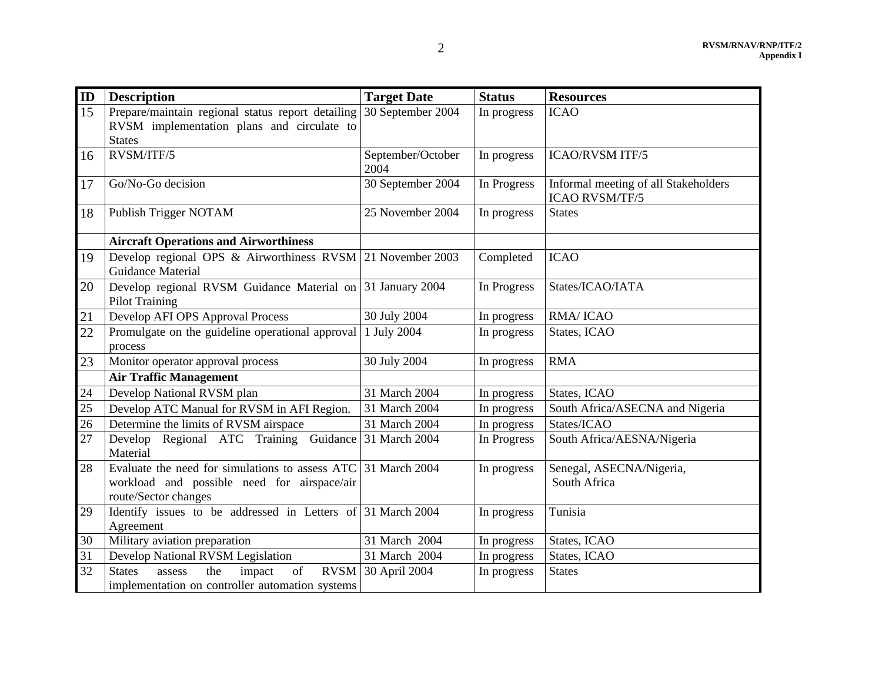| ID | <b>Description</b>                                                                                                                   | <b>Target Date</b>        | <b>Status</b> | <b>Resources</b>                                              |
|----|--------------------------------------------------------------------------------------------------------------------------------------|---------------------------|---------------|---------------------------------------------------------------|
| 15 | Prepare/maintain regional status report detailing<br>RVSM implementation plans and circulate to<br><b>States</b>                     | 30 September 2004         | In progress   | <b>ICAO</b>                                                   |
| 16 | RVSM/ITF/5                                                                                                                           | September/October<br>2004 | In progress   | <b>ICAO/RVSM ITF/5</b>                                        |
| 17 | Go/No-Go decision                                                                                                                    | 30 September 2004         | In Progress   | Informal meeting of all Stakeholders<br><b>ICAO RVSM/TF/5</b> |
| 18 | Publish Trigger NOTAM                                                                                                                | 25 November 2004          | In progress   | <b>States</b>                                                 |
|    | <b>Aircraft Operations and Airworthiness</b>                                                                                         |                           |               |                                                               |
| 19 | Develop regional OPS & Airworthiness RVSM 21 November 2003<br>Guidance Material                                                      |                           | Completed     | <b>ICAO</b>                                                   |
| 20 | Develop regional RVSM Guidance Material on 31 January 2004<br><b>Pilot Training</b>                                                  |                           | In Progress   | States/ICAO/IATA                                              |
| 21 | Develop AFI OPS Approval Process                                                                                                     | 30 July 2004              | In progress   | <b>RMA/ICAO</b>                                               |
| 22 | Promulgate on the guideline operational approval<br>process                                                                          | 1 July 2004               | In progress   | States, ICAO                                                  |
| 23 | Monitor operator approval process                                                                                                    | 30 July 2004              | In progress   | <b>RMA</b>                                                    |
|    | <b>Air Traffic Management</b>                                                                                                        |                           |               |                                                               |
| 24 | Develop National RVSM plan                                                                                                           | 31 March 2004             | In progress   | States, ICAO                                                  |
| 25 | Develop ATC Manual for RVSM in AFI Region.                                                                                           | 31 March 2004             | In progress   | South Africa/ASECNA and Nigeria                               |
| 26 | Determine the limits of RVSM airspace                                                                                                | 31 March 2004             | In progress   | States/ICAO                                                   |
| 27 | Develop Regional ATC Training Guidance<br>Material                                                                                   | 31 March 2004             | In Progress   | South Africa/AESNA/Nigeria                                    |
| 28 | Evaluate the need for simulations to assess ATC 31 March 2004<br>workload and possible need for airspace/air<br>route/Sector changes |                           | In progress   | Senegal, ASECNA/Nigeria,<br>South Africa                      |
| 29 | Identify issues to be addressed in Letters of 31 March 2004<br>Agreement                                                             |                           | In progress   | Tunisia                                                       |
| 30 | Military aviation preparation                                                                                                        | 31 March 2004             | In progress   | States, ICAO                                                  |
| 31 | Develop National RVSM Legislation                                                                                                    | 31 March 2004             | In progress   | States, ICAO                                                  |
| 32 | of<br>the<br>impact<br><b>States</b><br>assess<br>implementation on controller automation systems                                    | RVSM 30 April 2004        | In progress   | <b>States</b>                                                 |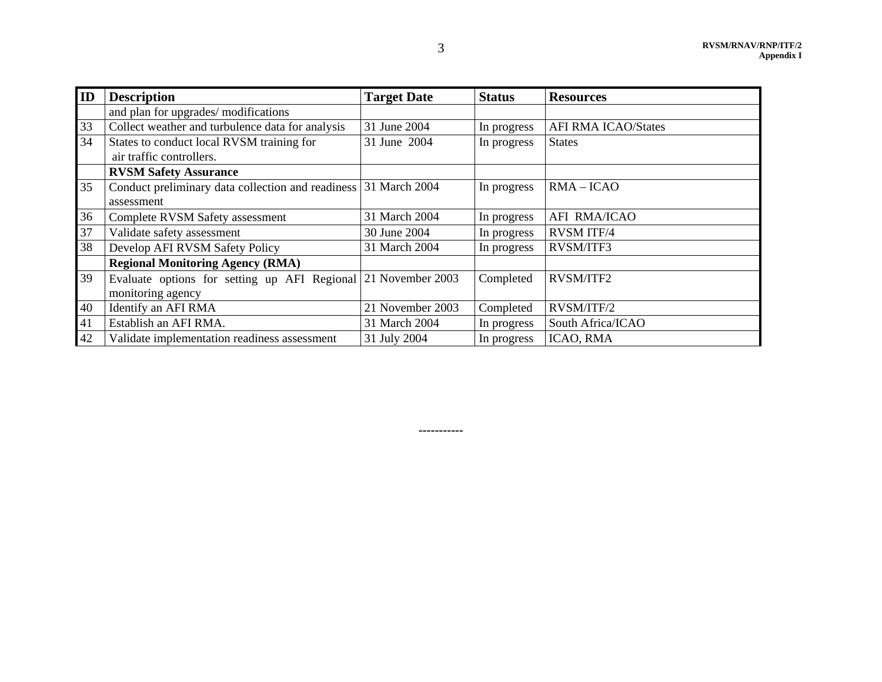| ID | <b>Description</b>                                              | <b>Target Date</b> | <b>Status</b> | <b>Resources</b>           |
|----|-----------------------------------------------------------------|--------------------|---------------|----------------------------|
|    | and plan for upgrades/ modifications                            |                    |               |                            |
| 33 | Collect weather and turbulence data for analysis                | 31 June 2004       | In progress   | <b>AFI RMA ICAO/States</b> |
| 34 | States to conduct local RVSM training for                       | 31 June 2004       | In progress   | <b>States</b>              |
|    | air traffic controllers.                                        |                    |               |                            |
|    | <b>RVSM Safety Assurance</b>                                    |                    |               |                            |
| 35 | Conduct preliminary data collection and readiness 31 March 2004 |                    | In progress   | $RMA - ICAO$               |
|    | assessment                                                      |                    |               |                            |
| 36 | Complete RVSM Safety assessment                                 | 31 March 2004      | In progress   | <b>AFI RMA/ICAO</b>        |
| 37 | Validate safety assessment                                      | 30 June 2004       | In progress   | <b>RVSM ITF/4</b>          |
| 38 | Develop AFI RVSM Safety Policy                                  | 31 March 2004      | In progress   | RVSM/ITF3                  |
|    | <b>Regional Monitoring Agency (RMA)</b>                         |                    |               |                            |
| 39 | Evaluate options for setting up AFI Regional 21 November 2003   |                    | Completed     | RVSM/ITF2                  |
|    | monitoring agency                                               |                    |               |                            |
| 40 | Identify an AFI RMA                                             | 21 November 2003   | Completed     | RVSM/ITF/2                 |
| 41 | Establish an AFI RMA.                                           | 31 March 2004      | In progress   | South Africa/ICAO          |
| 42 | Validate implementation readiness assessment                    | 31 July 2004       | In progress   | ICAO, RMA                  |

**-----------**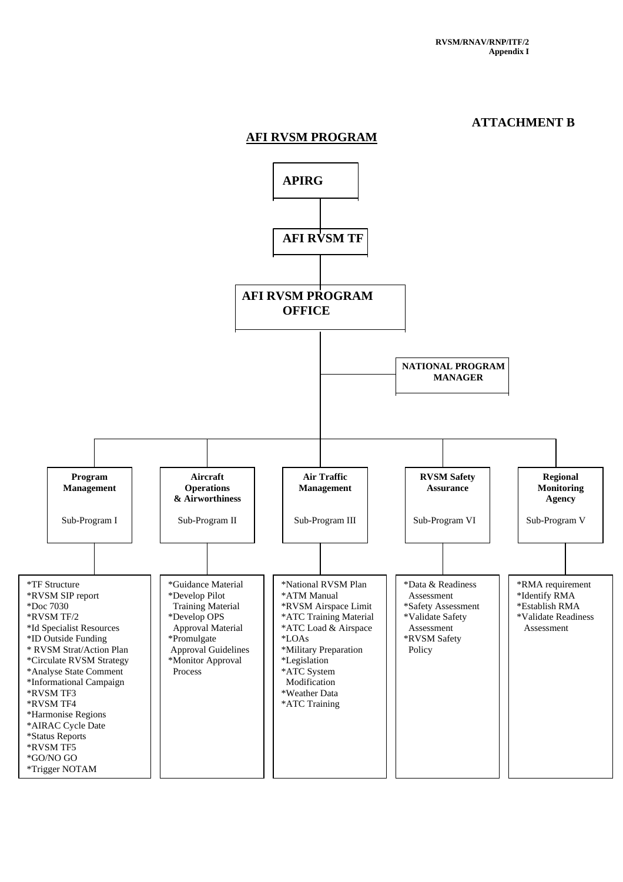#### **ATTACHMENT B**

#### **AFI RVSM PROGRAM**

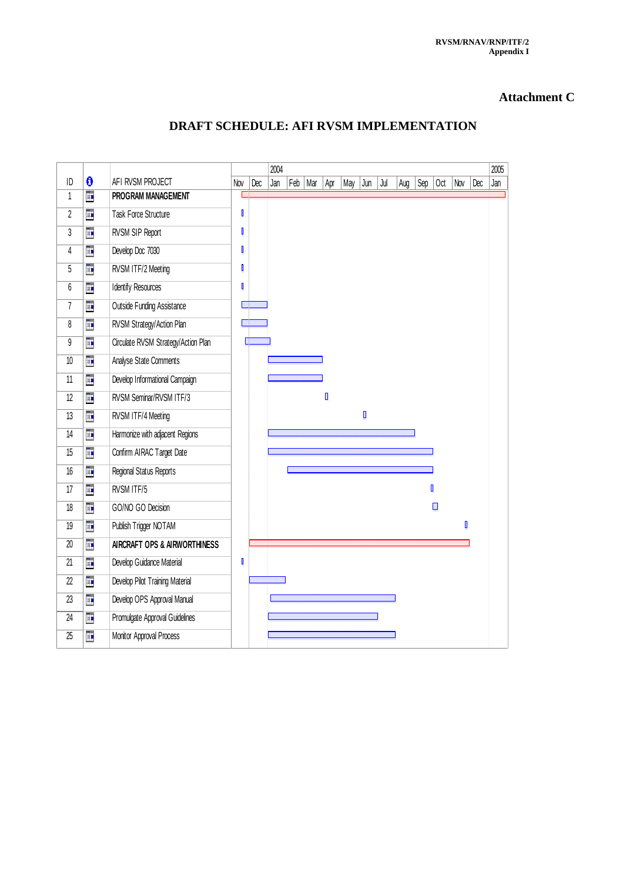#### **Attachment C**

## **DRAFT SCHEDULE: AFI RVSM IMPLEMENTATION**

|                |    |                                     |     |     | 2004 |     |     |     |     |     |     |     |     |                |     |     | 2005 |
|----------------|----|-------------------------------------|-----|-----|------|-----|-----|-----|-----|-----|-----|-----|-----|----------------|-----|-----|------|
| ID             | 0  | AFI RVSM PROJECT                    | Nov | Dec | Jan  | Feb | Mar | Apr | May | Jun | Jul | Aug | Sep | Oct            | Nov | Dec | Jan  |
| 1              | Þ  | PROGRAM MANAGEMENT                  |     |     |      |     |     |     |     |     |     |     |     |                |     |     |      |
| $\overline{2}$ | H. | Task Force Structure                | ß   |     |      |     |     |     |     |     |     |     |     |                |     |     |      |
| 3              | H. | RVSM SIP Report                     |     |     |      |     |     |     |     |     |     |     |     |                |     |     |      |
| 4              | H. | Develop Doc 7030                    | ß   |     |      |     |     |     |     |     |     |     |     |                |     |     |      |
| 5              | H. | RVSM ITF/2 Meeting                  | l   |     |      |     |     |     |     |     |     |     |     |                |     |     |      |
| 6              | H. | <b>Identify Resources</b>           | R   |     |      |     |     |     |     |     |     |     |     |                |     |     |      |
| $\overline{7}$ | H. | <b>Outside Funding Assistance</b>   |     |     |      |     |     |     |     |     |     |     |     |                |     |     |      |
| 8              | T. | RVSM Strategy/Action Plan           |     |     |      |     |     |     |     |     |     |     |     |                |     |     |      |
| 9              | H. | Circulate RVSM Strategy/Action Plan |     |     |      |     |     |     |     |     |     |     |     |                |     |     |      |
| 10             | H. | Analyse State Comments              |     |     |      |     |     |     |     |     |     |     |     |                |     |     |      |
| 11             | ī. | Develop Informational Campaign      |     |     |      |     |     |     |     |     |     |     |     |                |     |     |      |
| 12             | H. | RVSM Seminar/RVSM ITF/3             |     |     |      |     |     | D   |     |     |     |     |     |                |     |     |      |
| 13             | T. | RVSM ITF/4 Meeting                  |     |     |      |     |     |     |     | ı   |     |     |     |                |     |     |      |
| 14             | m. | Harmonize with adjacent Regions     |     |     |      |     |     |     |     |     |     |     |     |                |     |     |      |
| 15             | H. | Confirm AIRAC Target Date           |     |     |      |     |     |     |     |     |     |     |     |                |     |     |      |
| 16             | ī. | Regional Status Reports             |     |     |      |     |     |     |     |     |     |     |     |                |     |     |      |
| 17             | H. | RVSM ITF/5                          |     |     |      |     |     |     |     |     |     |     |     | $\blacksquare$ |     |     |      |
| 18             | Þ  | GO/NO GO Decision                   |     |     |      |     |     |     |     |     |     |     |     | ◨              |     |     |      |
| 19             | H. | Publish Trigger NOTAM               |     |     |      |     |     |     |     |     |     |     |     |                | D   |     |      |
| 20             | H. | AIRCRAFT OPS & AIRWORTHINESS        |     |     |      |     |     |     |     |     |     |     |     |                |     |     |      |
| 21             | H. | Develop Guidance Material           | I   |     |      |     |     |     |     |     |     |     |     |                |     |     |      |
| 22             | H. | Develop Pilot Training Material     |     |     |      |     |     |     |     |     |     |     |     |                |     |     |      |
| 23             | H. | Develop OPS Approval Manual         |     |     |      |     |     |     |     |     |     |     |     |                |     |     |      |
| 24             | H. | Promulgate Approval Guidelines      |     |     |      |     |     |     |     |     |     |     |     |                |     |     |      |
| 25             | Þ  | Monitor Approval Process            |     |     |      |     |     |     |     |     |     |     |     |                |     |     |      |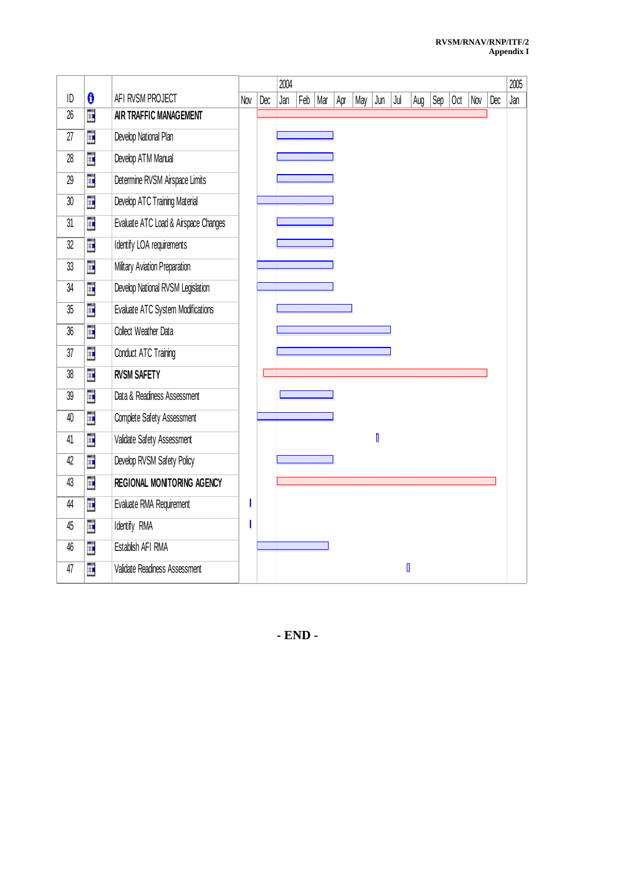|        |    |                                      | 2004 |     |     |     |     |     |     | 2005 |     |     |     |     |     |     |     |
|--------|----|--------------------------------------|------|-----|-----|-----|-----|-----|-----|------|-----|-----|-----|-----|-----|-----|-----|
| ID     | 0  | AFI RVSM PROJECT                     | Nov  | Dec | Jan | Feb | Mar | Apr | May | Jun  | Jul | Aug | Sep | Oct | Nov | Dec | Jan |
| 26     | Ē. | AIR TRAFFIC MANAGEMENT               |      |     |     |     |     |     |     |      |     |     |     |     |     |     |     |
| 27     | Ē  | Develop National Plan                |      |     |     |     |     |     |     |      |     |     |     |     |     |     |     |
| 28     | H  | Develop ATM Manual                   |      |     |     |     |     |     |     |      |     |     |     |     |     |     |     |
| 29     | H  | Determine RVSM Airspace Limits       |      |     |     |     |     |     |     |      |     |     |     |     |     |     |     |
| $30\,$ | Ē  | Develop ATC Training Material        |      |     |     |     |     |     |     |      |     |     |     |     |     |     |     |
| 31     | Ē  | Evaluate ATC Load & Airspace Changes |      |     |     |     |     |     |     |      |     |     |     |     |     |     |     |
| 32     | Ē. | Identify LOA requirements            |      |     |     |     |     |     |     |      |     |     |     |     |     |     |     |
| 33     | Ē. | Military Aviation Preparation        |      |     |     |     |     |     |     |      |     |     |     |     |     |     |     |
| 34     | H  | Develop National RVSM Legislation    |      |     |     |     |     |     |     |      |     |     |     |     |     |     |     |
| 35     | H  | Evaluate ATC System Modifications    |      |     |     |     |     |     |     |      |     |     |     |     |     |     |     |
| 36     | H  | Collect Weather Data                 |      |     |     |     |     |     |     |      |     |     |     |     |     |     |     |
| 37     | n. | Conduct ATC Training                 |      |     |     |     |     |     |     |      |     |     |     |     |     |     |     |
| 38     | Ē  | <b>RVSM SAFETY</b>                   |      |     |     |     |     |     |     |      |     |     |     |     |     |     |     |
| 39     | Ŧ  | Data & Readiness Assessment          |      |     |     |     |     |     |     |      |     |     |     |     |     |     |     |
| 40     | H. | Complete Safety Assessment           |      |     |     |     |     |     |     |      |     |     |     |     |     |     |     |
| 41     | H  | Validate Safety Assessment           |      |     |     |     |     |     |     | D    |     |     |     |     |     |     |     |
| 42     | Ē  | Develop RVSM Safety Policy           |      |     |     |     |     |     |     |      |     |     |     |     |     |     |     |
| 43     | Ē  | REGIONAL MONITORING AGENCY           |      |     |     |     |     |     |     |      |     |     |     |     |     |     |     |
| 44     | H. | Evaluate RMA Requirement             | I    |     |     |     |     |     |     |      |     |     |     |     |     |     |     |
| 45     | Ē  | Identify RMA                         | I    |     |     |     |     |     |     |      |     |     |     |     |     |     |     |
| 46     | H  | Establish AFI RMA                    |      |     |     |     |     |     |     |      |     |     |     |     |     |     |     |
| 47     | Ē. | Validate Readiness Assessment        |      |     |     |     |     |     |     |      |     | D   |     |     |     |     |     |

**- END -**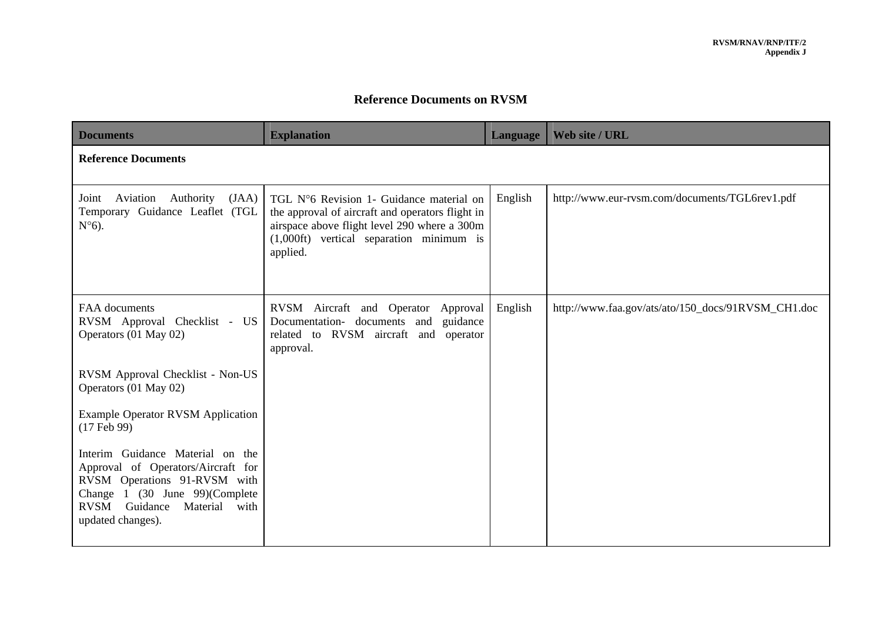## **Reference Documents on RVSM**

| <b>Documents</b>                                                                                                                                                                                | <b>Explanation</b>                                                                                                                                                                                            | <b>Language</b> | Web site / URL                                     |
|-------------------------------------------------------------------------------------------------------------------------------------------------------------------------------------------------|---------------------------------------------------------------------------------------------------------------------------------------------------------------------------------------------------------------|-----------------|----------------------------------------------------|
| <b>Reference Documents</b>                                                                                                                                                                      |                                                                                                                                                                                                               |                 |                                                    |
| (JAA)<br>Aviation<br>Authority<br>Joint<br>Temporary Guidance Leaflet (TGL<br>$N^{\circ}6$ ).                                                                                                   | TGL N°6 Revision 1- Guidance material on<br>the approval of aircraft and operators flight in<br>airspace above flight level 290 where a 300m<br>$(1,000\text{ft})$ vertical separation minimum is<br>applied. | English         | http://www.eur-rvsm.com/documents/TGL6rev1.pdf     |
| FAA documents<br>RVSM Approval Checklist - US<br>Operators (01 May 02)                                                                                                                          | RVSM Aircraft and Operator<br>Approval<br>Documentation- documents and<br>guidance<br>related to RVSM aircraft and operator<br>approval.                                                                      | English         | http://www.faa.gov/ats/ato/150_docs/91RVSM_CH1.doc |
| RVSM Approval Checklist - Non-US<br>Operators (01 May 02)                                                                                                                                       |                                                                                                                                                                                                               |                 |                                                    |
| <b>Example Operator RVSM Application</b><br>$(17$ Feb 99)                                                                                                                                       |                                                                                                                                                                                                               |                 |                                                    |
| Interim Guidance Material on the<br>Approval of Operators/Aircraft for<br>RVSM Operations 91-RVSM with<br>Change 1 (30 June 99)(Complete<br>RVSM Guidance<br>Material with<br>updated changes). |                                                                                                                                                                                                               |                 |                                                    |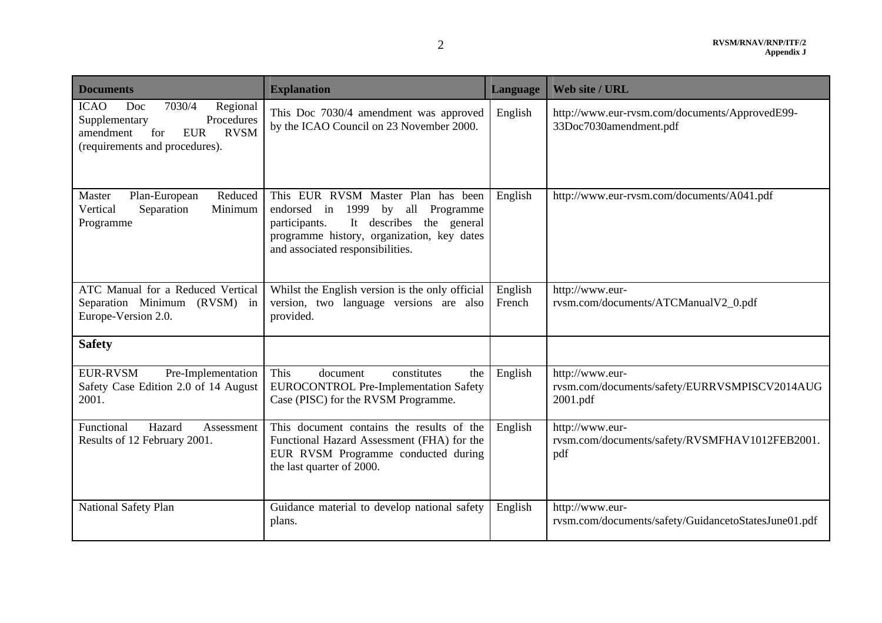| <b>Documents</b>                                                                                                                                           | <b>Explanation</b>                                                                                                                                                                                              | Language          | Web site / URL                                                               |
|------------------------------------------------------------------------------------------------------------------------------------------------------------|-----------------------------------------------------------------------------------------------------------------------------------------------------------------------------------------------------------------|-------------------|------------------------------------------------------------------------------|
| 7030/4<br>Regional<br><b>ICAO</b><br>Doc<br>Procedures<br>Supplementary<br><b>EUR</b><br><b>RVSM</b><br>amendment<br>for<br>(requirements and procedures). | This Doc 7030/4 amendment was approved<br>by the ICAO Council on 23 November 2000.                                                                                                                              | English           | http://www.eur-rvsm.com/documents/ApprovedE99-<br>33Doc7030amendment.pdf     |
| Master<br>Plan-European<br>Reduced<br>Separation<br>Minimum<br>Vertical<br>Programme                                                                       | This EUR RVSM Master Plan has been<br>1999<br>by all<br>Programme<br>endorsed in<br>It describes the general<br>participants.<br>programme history, organization, key dates<br>and associated responsibilities. | English           | http://www.eur-rvsm.com/documents/A041.pdf                                   |
| ATC Manual for a Reduced Vertical<br>Separation Minimum (RVSM) in<br>Europe-Version 2.0.                                                                   | Whilst the English version is the only official<br>version, two language versions are also<br>provided.                                                                                                         | English<br>French | http://www.eur-<br>rvsm.com/documents/ATCManualV2_0.pdf                      |
| <b>Safety</b>                                                                                                                                              |                                                                                                                                                                                                                 |                   |                                                                              |
| EUR-RVSM<br>Pre-Implementation<br>Safety Case Edition 2.0 of 14 August<br>2001.                                                                            | This<br>document<br>constitutes<br>the<br><b>EUROCONTROL Pre-Implementation Safety</b><br>Case (PISC) for the RVSM Programme.                                                                                   | English           | http://www.eur-<br>rvsm.com/documents/safety/EURRVSMPISCV2014AUG<br>2001.pdf |
| Hazard<br>Functional<br>Assessment<br>Results of 12 February 2001.                                                                                         | This document contains the results of the<br>Functional Hazard Assessment (FHA) for the<br>EUR RVSM Programme conducted during<br>the last quarter of 2000.                                                     | English           | http://www.eur-<br>rvsm.com/documents/safety/RVSMFHAV1012FEB2001.<br>pdf     |
| National Safety Plan                                                                                                                                       | Guidance material to develop national safety<br>plans.                                                                                                                                                          | English           | http://www.eur-<br>rvsm.com/documents/safety/GuidancetoStatesJune01.pdf      |